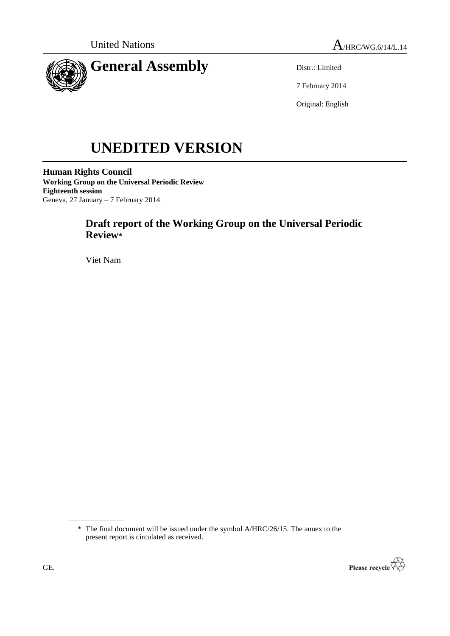



Distr.: Limited

7 February 2014

Original: English

# **UNEDITED VERSION**

**Human Rights Council Working Group on the Universal Periodic Review Eighteenth session** Geneva, 27 January – 7 February 2014

# **Draft report of the Working Group on the Universal Periodic Review\***

Viet Nam

<sup>\*</sup> The final document will be issued under the symbol A/HRC/26/15. The annex to the present report is circulated as received.

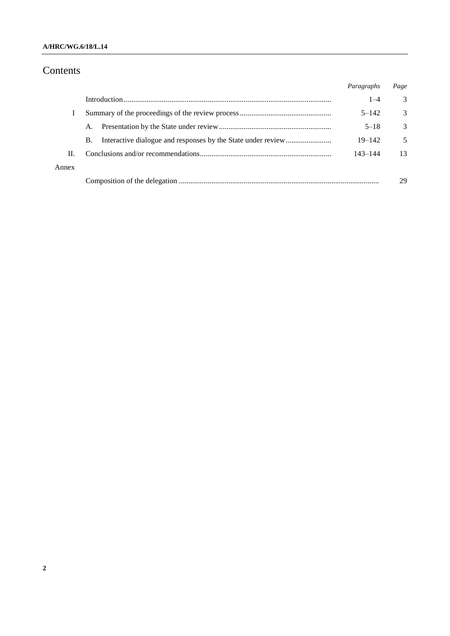## **A/HRC/WG.6/18/L.14**

# Contents

|       |           | Paragraphs | Page |
|-------|-----------|------------|------|
|       |           | $1 - 4$    | 3    |
|       |           | $5 - 142$  | 3    |
|       | A.        | $5 - 18$   | 3    |
|       | <b>B.</b> | $19 - 142$ | 5    |
| Н.    |           | 143–144    | 13   |
| Annex |           |            |      |
|       |           |            | 29   |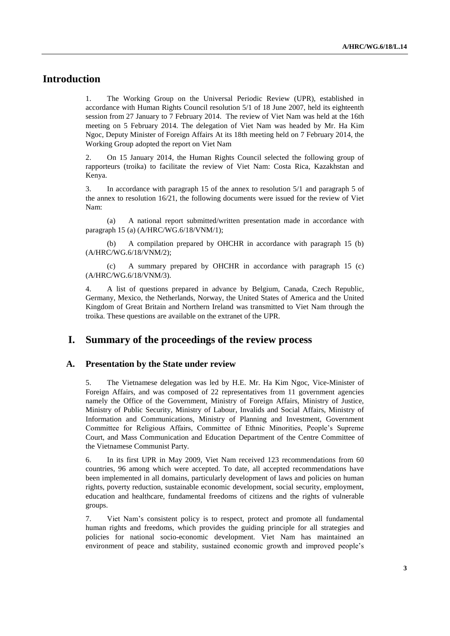## **Introduction**

1. The Working Group on the Universal Periodic Review (UPR), established in accordance with Human Rights Council resolution 5/1 of 18 June 2007, held its eighteenth session from 27 January to 7 February 2014. The review of Viet Nam was held at the 16th meeting on 5 February 2014. The delegation of Viet Nam was headed by Mr. Ha Kim Ngoc, Deputy Minister of Foreign Affairs At its 18th meeting held on 7 February 2014, the Working Group adopted the report on Viet Nam

2. On 15 January 2014, the Human Rights Council selected the following group of rapporteurs (troika) to facilitate the review of Viet Nam: Costa Rica, Kazakhstan and Kenya.

3. In accordance with paragraph 15 of the annex to resolution 5/1 and paragraph 5 of the annex to resolution 16/21, the following documents were issued for the review of Viet Nam:

(a) A national report submitted/written presentation made in accordance with paragraph 15 (a) (A/HRC/WG.6/18/VNM/1);

(b) A compilation prepared by OHCHR in accordance with paragraph 15 (b) (A/HRC/WG.6/18/VNM/2);

(c) A summary prepared by OHCHR in accordance with paragraph 15 (c) (A/HRC/WG.6/18/VNM/3).

4. A list of questions prepared in advance by Belgium, Canada, Czech Republic, Germany, Mexico, the Netherlands, Norway, the United States of America and the United Kingdom of Great Britain and Northern Ireland was transmitted to Viet Nam through the troika. These questions are available on the extranet of the UPR.

## **I. Summary of the proceedings of the review process**

#### **A. Presentation by the State under review**

5. The Vietnamese delegation was led by H.E. Mr. Ha Kim Ngoc, Vice-Minister of Foreign Affairs, and was composed of 22 representatives from 11 government agencies namely the Office of the Government, Ministry of Foreign Affairs, Ministry of Justice, Ministry of Public Security, Ministry of Labour, Invalids and Social Affairs, Ministry of Information and Communications, Ministry of Planning and Investment, Government Committee for Religious Affairs, Committee of Ethnic Minorities, People's Supreme Court, and Mass Communication and Education Department of the Centre Committee of the Vietnamese Communist Party.

6. In its first UPR in May 2009, Viet Nam received 123 recommendations from 60 countries, 96 among which were accepted. To date, all accepted recommendations have been implemented in all domains, particularly development of laws and policies on human rights, poverty reduction, sustainable economic development, social security, employment, education and healthcare, fundamental freedoms of citizens and the rights of vulnerable groups.

7. Viet Nam's consistent policy is to respect, protect and promote all fundamental human rights and freedoms, which provides the guiding principle for all strategies and policies for national socio-economic development. Viet Nam has maintained an environment of peace and stability, sustained economic growth and improved people's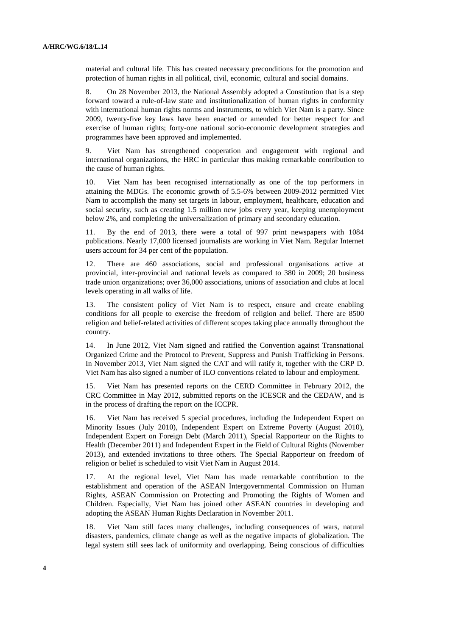material and cultural life. This has created necessary preconditions for the promotion and protection of human rights in all political, civil, economic, cultural and social domains.

8. On 28 November 2013, the National Assembly adopted a Constitution that is a step forward toward a rule-of-law state and institutionalization of human rights in conformity with international human rights norms and instruments, to which Viet Nam is a party. Since 2009, twenty-five key laws have been enacted or amended for better respect for and exercise of human rights; forty-one national socio-economic development strategies and programmes have been approved and implemented.

9. Viet Nam has strengthened cooperation and engagement with regional and international organizations, the HRC in particular thus making remarkable contribution to the cause of human rights.

10. Viet Nam has been recognised internationally as one of the top performers in attaining the MDGs. The economic growth of 5.5-6% between 2009-2012 permitted Viet Nam to accomplish the many set targets in labour, employment, healthcare, education and social security, such as creating 1.5 million new jobs every year, keeping unemployment below 2%, and completing the universalization of primary and secondary education.

11. By the end of 2013, there were a total of 997 print newspapers with 1084 publications. Nearly 17,000 licensed journalists are working in Viet Nam. Regular Internet users account for 34 per cent of the population.

12. There are 460 associations, social and professional organisations active at provincial, inter-provincial and national levels as compared to 380 in 2009; 20 business trade union organizations; over 36,000 associations, unions of association and clubs at local levels operating in all walks of life.

13. The consistent policy of Viet Nam is to respect, ensure and create enabling conditions for all people to exercise the freedom of religion and belief. There are 8500 religion and belief-related activities of different scopes taking place annually throughout the country.

14. In June 2012, Viet Nam signed and ratified the Convention against Transnational Organized Crime and the Protocol to Prevent, Suppress and Punish Trafficking in Persons. In November 2013, Viet Nam signed the CAT and will ratify it, together with the CRP D. Viet Nam has also signed a number of ILO conventions related to labour and employment.

15. Viet Nam has presented reports on the CERD Committee in February 2012, the CRC Committee in May 2012, submitted reports on the ICESCR and the CEDAW, and is in the process of drafting the report on the ICCPR.

16. Viet Nam has received 5 special procedures, including the Independent Expert on Minority Issues (July 2010), Independent Expert on Extreme Poverty (August 2010), Independent Expert on Foreign Debt (March 2011), Special Rapporteur on the Rights to Health (December 2011) and Independent Expert in the Field of Cultural Rights (November 2013), and extended invitations to three others. The Special Rapporteur on freedom of religion or belief is scheduled to visit Viet Nam in August 2014.

17. At the regional level, Viet Nam has made remarkable contribution to the establishment and operation of the ASEAN Intergovernmental Commission on Human Rights, ASEAN Commission on Protecting and Promoting the Rights of Women and Children. Especially, Viet Nam has joined other ASEAN countries in developing and adopting the ASEAN Human Rights Declaration in November 2011.

18. Viet Nam still faces many challenges, including consequences of wars, natural disasters, pandemics, climate change as well as the negative impacts of globalization. The legal system still sees lack of uniformity and overlapping. Being conscious of difficulties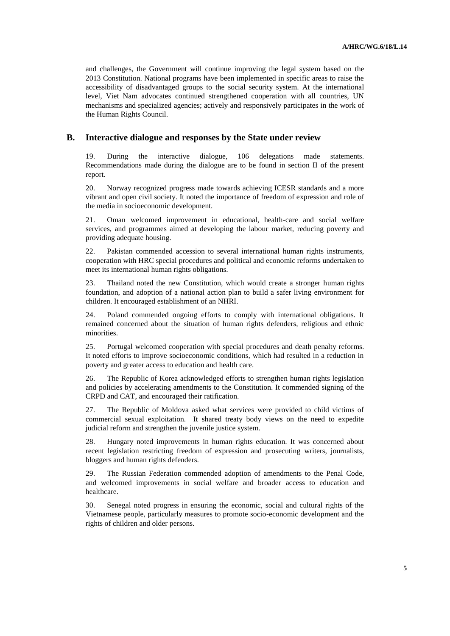and challenges, the Government will continue improving the legal system based on the 2013 Constitution. National programs have been implemented in specific areas to raise the accessibility of disadvantaged groups to the social security system. At the international level, Viet Nam advocates continued strengthened cooperation with all countries, UN mechanisms and specialized agencies; actively and responsively participates in the work of the Human Rights Council.

### **B. Interactive dialogue and responses by the State under review**

19. During the interactive dialogue, 106 delegations made statements. Recommendations made during the dialogue are to be found in section II of the present report.

20. Norway recognized progress made towards achieving ICESR standards and a more vibrant and open civil society. It noted the importance of freedom of expression and role of the media in socioeconomic development.

21. Oman welcomed improvement in educational, health-care and social welfare services, and programmes aimed at developing the labour market, reducing poverty and providing adequate housing.

22. Pakistan commended accession to several international human rights instruments, cooperation with HRC special procedures and political and economic reforms undertaken to meet its international human rights obligations.

23. Thailand noted the new Constitution, which would create a stronger human rights foundation, and adoption of a national action plan to build a safer living environment for children. It encouraged establishment of an NHRI.

24. Poland commended ongoing efforts to comply with international obligations. It remained concerned about the situation of human rights defenders, religious and ethnic minorities.

25. Portugal welcomed cooperation with special procedures and death penalty reforms. It noted efforts to improve socioeconomic conditions, which had resulted in a reduction in poverty and greater access to education and health care.

26. The Republic of Korea acknowledged efforts to strengthen human rights legislation and policies by accelerating amendments to the Constitution. It commended signing of the CRPD and CAT, and encouraged their ratification.

27. The Republic of Moldova asked what services were provided to child victims of commercial sexual exploitation. It shared treaty body views on the need to expedite judicial reform and strengthen the juvenile justice system.

28. Hungary noted improvements in human rights education. It was concerned about recent legislation restricting freedom of expression and prosecuting writers, journalists, bloggers and human rights defenders.

29. The Russian Federation commended adoption of amendments to the Penal Code, and welcomed improvements in social welfare and broader access to education and healthcare.

30. Senegal noted progress in ensuring the economic, social and cultural rights of the Vietnamese people, particularly measures to promote socio-economic development and the rights of children and older persons.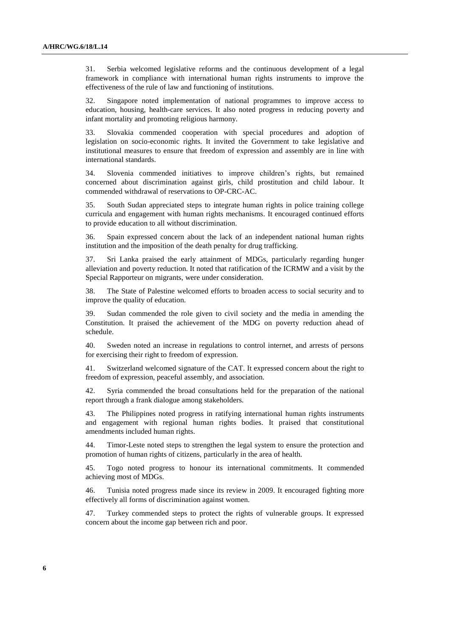31. Serbia welcomed legislative reforms and the continuous development of a legal framework in compliance with international human rights instruments to improve the effectiveness of the rule of law and functioning of institutions.

32. Singapore noted implementation of national programmes to improve access to education, housing, health-care services. It also noted progress in reducing poverty and infant mortality and promoting religious harmony.

33. Slovakia commended cooperation with special procedures and adoption of legislation on socio-economic rights. It invited the Government to take legislative and institutional measures to ensure that freedom of expression and assembly are in line with international standards.

34. Slovenia commended initiatives to improve children's rights, but remained concerned about discrimination against girls, child prostitution and child labour. It commended withdrawal of reservations to OP-CRC-AC.

35. South Sudan appreciated steps to integrate human rights in police training college curricula and engagement with human rights mechanisms. It encouraged continued efforts to provide education to all without discrimination.

36. Spain expressed concern about the lack of an independent national human rights institution and the imposition of the death penalty for drug trafficking.

37. Sri Lanka praised the early attainment of MDGs, particularly regarding hunger alleviation and poverty reduction. It noted that ratification of the ICRMW and a visit by the Special Rapporteur on migrants, were under consideration.

38. The State of Palestine welcomed efforts to broaden access to social security and to improve the quality of education.

39. Sudan commended the role given to civil society and the media in amending the Constitution. It praised the achievement of the MDG on poverty reduction ahead of schedule.

40. Sweden noted an increase in regulations to control internet, and arrests of persons for exercising their right to freedom of expression.

41. Switzerland welcomed signature of the CAT. It expressed concern about the right to freedom of expression, peaceful assembly, and association.

42. Syria commended the broad consultations held for the preparation of the national report through a frank dialogue among stakeholders.

43. The Philippines noted progress in ratifying international human rights instruments and engagement with regional human rights bodies. It praised that constitutional amendments included human rights.

44. Timor-Leste noted steps to strengthen the legal system to ensure the protection and promotion of human rights of citizens, particularly in the area of health.

45. Togo noted progress to honour its international commitments. It commended achieving most of MDGs.

46. Tunisia noted progress made since its review in 2009. It encouraged fighting more effectively all forms of discrimination against women.

47. Turkey commended steps to protect the rights of vulnerable groups. It expressed concern about the income gap between rich and poor.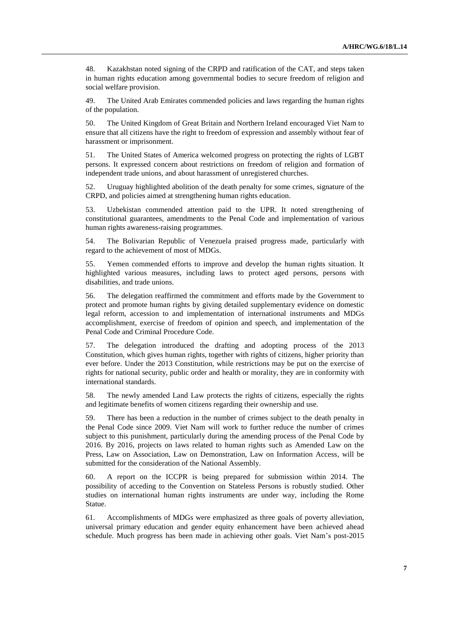48. Kazakhstan noted signing of the CRPD and ratification of the CAT, and steps taken in human rights education among governmental bodies to secure freedom of religion and social welfare provision.

49. The United Arab Emirates commended policies and laws regarding the human rights of the population.

50. The United Kingdom of Great Britain and Northern Ireland encouraged Viet Nam to ensure that all citizens have the right to freedom of expression and assembly without fear of harassment or imprisonment.

51. The United States of America welcomed progress on protecting the rights of LGBT persons. It expressed concern about restrictions on freedom of religion and formation of independent trade unions, and about harassment of unregistered churches.

52. Uruguay highlighted abolition of the death penalty for some crimes, signature of the CRPD, and policies aimed at strengthening human rights education.

53. Uzbekistan commended attention paid to the UPR. It noted strengthening of constitutional guarantees, amendments to the Penal Code and implementation of various human rights awareness-raising programmes.

54. The Bolivarian Republic of Venezuela praised progress made, particularly with regard to the achievement of most of MDGs.

55. Yemen commended efforts to improve and develop the human rights situation. It highlighted various measures, including laws to protect aged persons, persons with disabilities, and trade unions.

56. The delegation reaffirmed the commitment and efforts made by the Government to protect and promote human rights by giving detailed supplementary evidence on domestic legal reform, accession to and implementation of international instruments and MDGs accomplishment, exercise of freedom of opinion and speech, and implementation of the Penal Code and Criminal Procedure Code.

57. The delegation introduced the drafting and adopting process of the 2013 Constitution, which gives human rights, together with rights of citizens, higher priority than ever before. Under the 2013 Constitution, while restrictions may be put on the exercise of rights for national security, public order and health or morality, they are in conformity with international standards.

58. The newly amended Land Law protects the rights of citizens, especially the rights and legitimate benefits of women citizens regarding their ownership and use.

59. There has been a reduction in the number of crimes subject to the death penalty in the Penal Code since 2009. Viet Nam will work to further reduce the number of crimes subject to this punishment, particularly during the amending process of the Penal Code by 2016. By 2016, projects on laws related to human rights such as Amended Law on the Press, Law on Association, Law on Demonstration, Law on Information Access, will be submitted for the consideration of the National Assembly.

60. A report on the ICCPR is being prepared for submission within 2014. The possibility of acceding to the Convention on Stateless Persons is robustly studied. Other studies on international human rights instruments are under way, including the Rome Statue.

61. Accomplishments of MDGs were emphasized as three goals of poverty alleviation, universal primary education and gender equity enhancement have been achieved ahead schedule. Much progress has been made in achieving other goals. Viet Nam's post-2015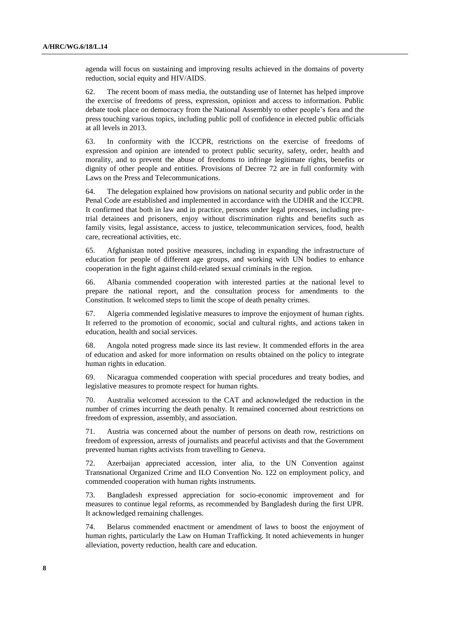agenda will focus on sustaining and improving results achieved in the domains of poverty reduction, social equity and HIV/AIDS.

62. The recent boom of mass media, the outstanding use of Internet has helped improve the exercise of freedoms of press, expression, opinion and access to information. Public debate took place on democracy from the National Assembly to other people's fora and the press touching various topics, including public poll of confidence in elected public officials at all levels in 2013.

63. In conformity with the ICCPR, restrictions on the exercise of freedoms of expression and opinion are intended to protect public security, safety, order, health and morality, and to prevent the abuse of freedoms to infringe legitimate rights, benefits or dignity of other people and entities. Provisions of Decree 72 are in full conformity with Laws on the Press and Telecommunications.

64. The delegation explained how provisions on national security and public order in the Penal Code are established and implemented in accordance with the UDHR and the ICCPR. It confirmed that both in law and in practice, persons under legal processes, including pretrial detainees and prisoners, enjoy without discrimination rights and benefits such as family visits, legal assistance, access to justice, telecommunication services, food, health care, recreational activities, etc.

65. Afghanistan noted positive measures, including in expanding the infrastructure of education for people of different age groups, and working with UN bodies to enhance cooperation in the fight against child-related sexual criminals in the region.

66. Albania commended cooperation with interested parties at the national level to prepare the national report, and the consultation process for amendments to the Constitution. It welcomed steps to limit the scope of death penalty crimes.

67. Algeria commended legislative measures to improve the enjoyment of human rights. It referred to the promotion of economic, social and cultural rights, and actions taken in education, health and social services.

68. Angola noted progress made since its last review. It commended efforts in the area of education and asked for more information on results obtained on the policy to integrate human rights in education.

69. Nicaragua commended cooperation with special procedures and treaty bodies, and legislative measures to promote respect for human rights.

70. Australia welcomed accession to the CAT and acknowledged the reduction in the number of crimes incurring the death penalty. It remained concerned about restrictions on freedom of expression, assembly, and association.

71. Austria was concerned about the number of persons on death row, restrictions on freedom of expression, arrests of journalists and peaceful activists and that the Government prevented human rights activists from travelling to Geneva.

72. Azerbaijan appreciated accession, inter alia, to the UN Convention against Transnational Organized Crime and ILO Convention No. 122 on employment policy, and commended cooperation with human rights instruments.

73. Bangladesh expressed appreciation for socio-economic improvement and for measures to continue legal reforms, as recommended by Bangladesh during the first UPR. It acknowledged remaining challenges.

74. Belarus commended enactment or amendment of laws to boost the enjoyment of human rights, particularly the Law on Human Trafficking. It noted achievements in hunger alleviation, poverty reduction, health care and education.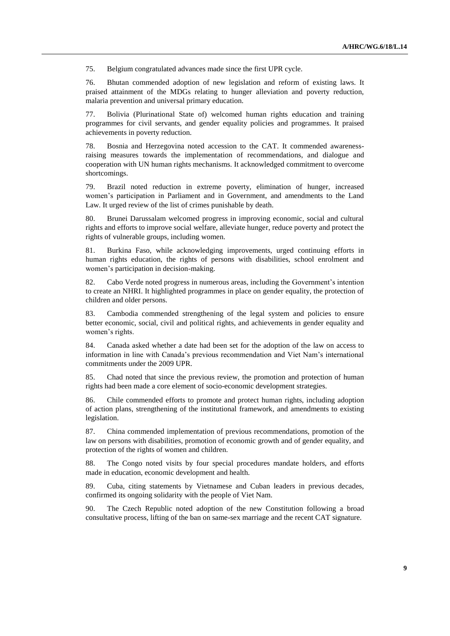75. Belgium congratulated advances made since the first UPR cycle.

76. Bhutan commended adoption of new legislation and reform of existing laws. It praised attainment of the MDGs relating to hunger alleviation and poverty reduction, malaria prevention and universal primary education.

77. Bolivia (Plurinational State of) welcomed human rights education and training programmes for civil servants, and gender equality policies and programmes. It praised achievements in poverty reduction.

78. Bosnia and Herzegovina noted accession to the CAT. It commended awarenessraising measures towards the implementation of recommendations, and dialogue and cooperation with UN human rights mechanisms. It acknowledged commitment to overcome shortcomings.

79. Brazil noted reduction in extreme poverty, elimination of hunger, increased women's participation in Parliament and in Government, and amendments to the Land Law. It urged review of the list of crimes punishable by death.

80. Brunei Darussalam welcomed progress in improving economic, social and cultural rights and efforts to improve social welfare, alleviate hunger, reduce poverty and protect the rights of vulnerable groups, including women.

81. Burkina Faso, while acknowledging improvements, urged continuing efforts in human rights education, the rights of persons with disabilities, school enrolment and women's participation in decision-making.

82. Cabo Verde noted progress in numerous areas, including the Government's intention to create an NHRI. It highlighted programmes in place on gender equality, the protection of children and older persons.

83. Cambodia commended strengthening of the legal system and policies to ensure better economic, social, civil and political rights, and achievements in gender equality and women's rights.

84. Canada asked whether a date had been set for the adoption of the law on access to information in line with Canada's previous recommendation and Viet Nam's international commitments under the 2009 UPR.

85. Chad noted that since the previous review, the promotion and protection of human rights had been made a core element of socio-economic development strategies.

86. Chile commended efforts to promote and protect human rights, including adoption of action plans, strengthening of the institutional framework, and amendments to existing legislation.

87. China commended implementation of previous recommendations, promotion of the law on persons with disabilities, promotion of economic growth and of gender equality, and protection of the rights of women and children.

88. The Congo noted visits by four special procedures mandate holders, and efforts made in education, economic development and health.

89. Cuba, citing statements by Vietnamese and Cuban leaders in previous decades, confirmed its ongoing solidarity with the people of Viet Nam.

90. The Czech Republic noted adoption of the new Constitution following a broad consultative process, lifting of the ban on same-sex marriage and the recent CAT signature.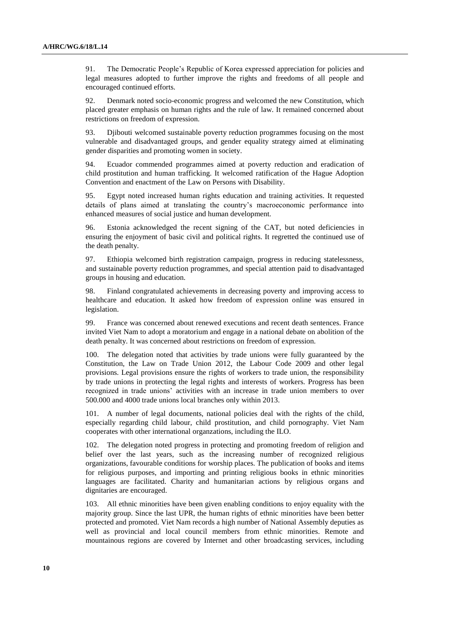91. The Democratic People's Republic of Korea expressed appreciation for policies and legal measures adopted to further improve the rights and freedoms of all people and encouraged continued efforts.

92. Denmark noted socio-economic progress and welcomed the new Constitution, which placed greater emphasis on human rights and the rule of law. It remained concerned about restrictions on freedom of expression.

93. Djibouti welcomed sustainable poverty reduction programmes focusing on the most vulnerable and disadvantaged groups, and gender equality strategy aimed at eliminating gender disparities and promoting women in society.

94. Ecuador commended programmes aimed at poverty reduction and eradication of child prostitution and human trafficking. It welcomed ratification of the Hague Adoption Convention and enactment of the Law on Persons with Disability.

95. Egypt noted increased human rights education and training activities. It requested details of plans aimed at translating the country's macroeconomic performance into enhanced measures of social justice and human development.

96. Estonia acknowledged the recent signing of the CAT, but noted deficiencies in ensuring the enjoyment of basic civil and political rights. It regretted the continued use of the death penalty.

97. Ethiopia welcomed birth registration campaign, progress in reducing statelessness, and sustainable poverty reduction programmes, and special attention paid to disadvantaged groups in housing and education.

98. Finland congratulated achievements in decreasing poverty and improving access to healthcare and education. It asked how freedom of expression online was ensured in legislation.

99. France was concerned about renewed executions and recent death sentences. France invited Viet Nam to adopt a moratorium and engage in a national debate on abolition of the death penalty. It was concerned about restrictions on freedom of expression.

100. The delegation noted that activities by trade unions were fully guaranteed by the Constitution, the Law on Trade Union 2012, the Labour Code 2009 and other legal provisions. Legal provisions ensure the rights of workers to trade union, the responsibility by trade unions in protecting the legal rights and interests of workers. Progress has been recognized in trade unions' activities with an increase in trade union members to over 500.000 and 4000 trade unions local branches only within 2013.

101. A number of legal documents, national policies deal with the rights of the child, especially regarding child labour, child prostitution, and child pornography. Viet Nam cooperates with other international organzations, including the ILO.

102. The delegation noted progress in protecting and promoting freedom of religion and belief over the last years, such as the increasing number of recognized religious organizations, favourable conditions for worship places. The publication of books and items for religious purposes, and importing and printing religious books in ethnic minorities languages are facilitated. Charity and humanitarian actions by religious organs and dignitaries are encouraged.

103. All ethnic minorities have been given enabling conditions to enjoy equality with the majority group. Since the last UPR, the human rights of ethnic minorities have been better protected and promoted. Viet Nam records a high number of National Assembly deputies as well as provincial and local council members from ethnic minorities. Remote and mountainous regions are covered by Internet and other broadcasting services, including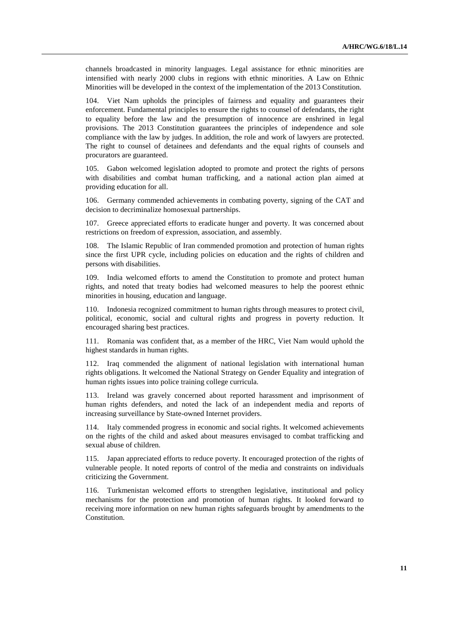channels broadcasted in minority languages. Legal assistance for ethnic minorities are intensified with nearly 2000 clubs in regions with ethnic minorities. A Law on Ethnic Minorities will be developed in the context of the implementation of the 2013 Constitution.

104. Viet Nam upholds the principles of fairness and equality and guarantees their enforcement. Fundamental principles to ensure the rights to counsel of defendants, the right to equality before the law and the presumption of innocence are enshrined in legal provisions. The 2013 Constitution guarantees the principles of independence and sole compliance with the law by judges. In addition, the role and work of lawyers are protected. The right to counsel of detainees and defendants and the equal rights of counsels and procurators are guaranteed.

105. Gabon welcomed legislation adopted to promote and protect the rights of persons with disabilities and combat human trafficking, and a national action plan aimed at providing education for all.

106. Germany commended achievements in combating poverty, signing of the CAT and decision to decriminalize homosexual partnerships.

107. Greece appreciated efforts to eradicate hunger and poverty. It was concerned about restrictions on freedom of expression, association, and assembly.

The Islamic Republic of Iran commended promotion and protection of human rights since the first UPR cycle, including policies on education and the rights of children and persons with disabilities.

109. India welcomed efforts to amend the Constitution to promote and protect human rights, and noted that treaty bodies had welcomed measures to help the poorest ethnic minorities in housing, education and language.

110. Indonesia recognized commitment to human rights through measures to protect civil, political, economic, social and cultural rights and progress in poverty reduction. It encouraged sharing best practices.

111. Romania was confident that, as a member of the HRC, Viet Nam would uphold the highest standards in human rights.

112. Iraq commended the alignment of national legislation with international human rights obligations. It welcomed the National Strategy on Gender Equality and integration of human rights issues into police training college curricula.

113. Ireland was gravely concerned about reported harassment and imprisonment of human rights defenders, and noted the lack of an independent media and reports of increasing surveillance by State-owned Internet providers.

114. Italy commended progress in economic and social rights. It welcomed achievements on the rights of the child and asked about measures envisaged to combat trafficking and sexual abuse of children.

115. Japan appreciated efforts to reduce poverty. It encouraged protection of the rights of vulnerable people. It noted reports of control of the media and constraints on individuals criticizing the Government.

116. Turkmenistan welcomed efforts to strengthen legislative, institutional and policy mechanisms for the protection and promotion of human rights. It looked forward to receiving more information on new human rights safeguards brought by amendments to the Constitution.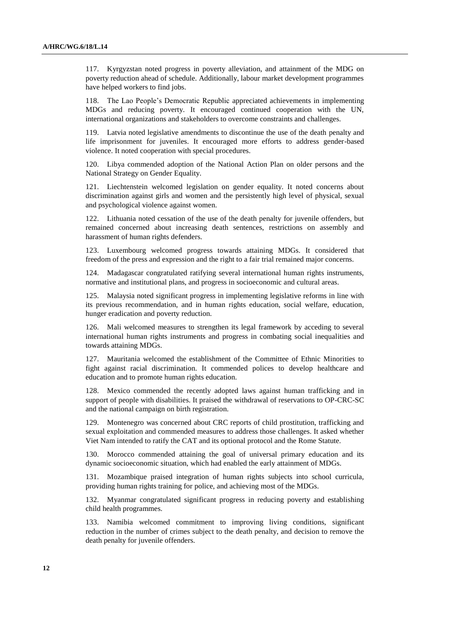117. Kyrgyzstan noted progress in poverty alleviation, and attainment of the MDG on poverty reduction ahead of schedule. Additionally, labour market development programmes have helped workers to find jobs.

118. The Lao People's Democratic Republic appreciated achievements in implementing MDGs and reducing poverty. It encouraged continued cooperation with the UN, international organizations and stakeholders to overcome constraints and challenges.

119. Latvia noted legislative amendments to discontinue the use of the death penalty and life imprisonment for juveniles. It encouraged more efforts to address gender-based violence. It noted cooperation with special procedures.

120. Libya commended adoption of the National Action Plan on older persons and the National Strategy on Gender Equality.

121. Liechtenstein welcomed legislation on gender equality. It noted concerns about discrimination against girls and women and the persistently high level of physical, sexual and psychological violence against women.

122. Lithuania noted cessation of the use of the death penalty for juvenile offenders, but remained concerned about increasing death sentences, restrictions on assembly and harassment of human rights defenders.

123. Luxembourg welcomed progress towards attaining MDGs. It considered that freedom of the press and expression and the right to a fair trial remained major concerns.

124. Madagascar congratulated ratifying several international human rights instruments, normative and institutional plans, and progress in socioeconomic and cultural areas.

125. Malaysia noted significant progress in implementing legislative reforms in line with its previous recommendation, and in human rights education, social welfare, education, hunger eradication and poverty reduction.

126. Mali welcomed measures to strengthen its legal framework by acceding to several international human rights instruments and progress in combating social inequalities and towards attaining MDGs.

127. Mauritania welcomed the establishment of the Committee of Ethnic Minorities to fight against racial discrimination. It commended polices to develop healthcare and education and to promote human rights education.

128. Mexico commended the recently adopted laws against human trafficking and in support of people with disabilities. It praised the withdrawal of reservations to OP-CRC-SC and the national campaign on birth registration.

129. Montenegro was concerned about CRC reports of child prostitution, trafficking and sexual exploitation and commended measures to address those challenges. It asked whether Viet Nam intended to ratify the CAT and its optional protocol and the Rome Statute.

130. Morocco commended attaining the goal of universal primary education and its dynamic socioeconomic situation, which had enabled the early attainment of MDGs.

131. Mozambique praised integration of human rights subjects into school curricula, providing human rights training for police, and achieving most of the MDGs.

132. Myanmar congratulated significant progress in reducing poverty and establishing child health programmes.

133. Namibia welcomed commitment to improving living conditions, significant reduction in the number of crimes subject to the death penalty, and decision to remove the death penalty for juvenile offenders.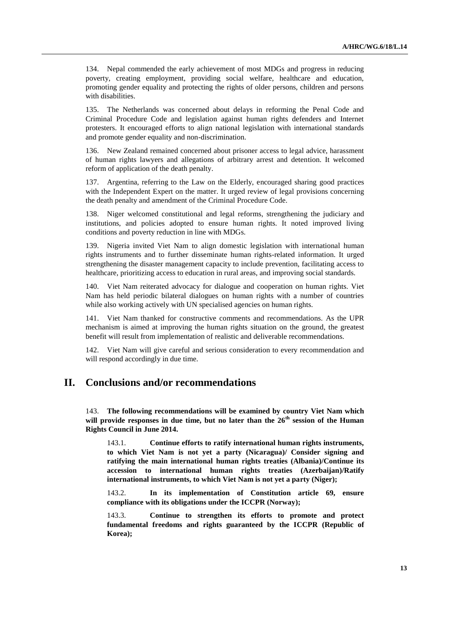134. Nepal commended the early achievement of most MDGs and progress in reducing poverty, creating employment, providing social welfare, healthcare and education, promoting gender equality and protecting the rights of older persons, children and persons with disabilities.

135. The Netherlands was concerned about delays in reforming the Penal Code and Criminal Procedure Code and legislation against human rights defenders and Internet protesters. It encouraged efforts to align national legislation with international standards and promote gender equality and non-discrimination.

136. New Zealand remained concerned about prisoner access to legal advice, harassment of human rights lawyers and allegations of arbitrary arrest and detention. It welcomed reform of application of the death penalty.

137. Argentina, referring to the Law on the Elderly, encouraged sharing good practices with the Independent Expert on the matter. It urged review of legal provisions concerning the death penalty and amendment of the Criminal Procedure Code.

138. Niger welcomed constitutional and legal reforms, strengthening the judiciary and institutions, and policies adopted to ensure human rights. It noted improved living conditions and poverty reduction in line with MDGs.

139. Nigeria invited Viet Nam to align domestic legislation with international human rights instruments and to further disseminate human rights-related information. It urged strengthening the disaster management capacity to include prevention, facilitating access to healthcare, prioritizing access to education in rural areas, and improving social standards.

140. Viet Nam reiterated advocacy for dialogue and cooperation on human rights. Viet Nam has held periodic bilateral dialogues on human rights with a number of countries while also working actively with UN specialised agencies on human rights.

141. Viet Nam thanked for constructive comments and recommendations. As the UPR mechanism is aimed at improving the human rights situation on the ground, the greatest benefit will result from implementation of realistic and deliverable recommendations.

142. Viet Nam will give careful and serious consideration to every recommendation and will respond accordingly in due time.

## **II. Conclusions and/or recommendations**

143. **The following recommendations will be examined by country Viet Nam which will provide responses in due time, but no later than the 26th session of the Human Rights Council in June 2014.**

143.1. **Continue efforts to ratify international human rights instruments, to which Viet Nam is not yet a party (Nicaragua)/ Consider signing and ratifying the main international human rights treaties (Albania)/Continue its accession to international human rights treaties (Azerbaijan)/Ratify international instruments, to which Viet Nam is not yet a party (Niger);**

143.2. **In its implementation of Constitution article 69, ensure compliance with its obligations under the ICCPR (Norway);**

143.3. **Continue to strengthen its efforts to promote and protect fundamental freedoms and rights guaranteed by the ICCPR (Republic of Korea);**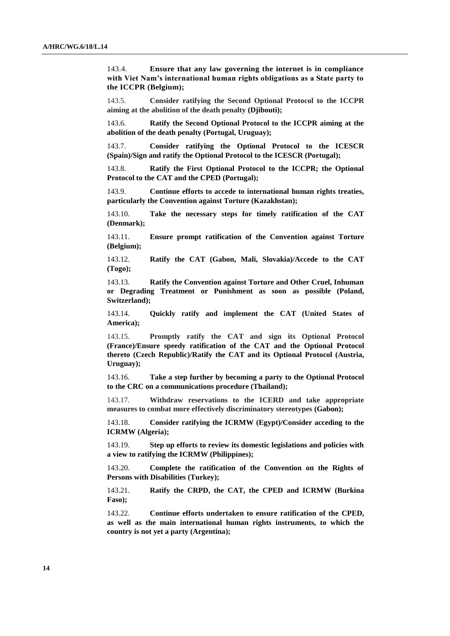143.4. **Ensure that any law governing the internet is in compliance with Viet Nam's international human rights obligations as a State party to the ICCPR (Belgium);**

143.5. **Consider ratifying the Second Optional Protocol to the ICCPR aiming at the abolition of the death penalty (Djibouti);**

143.6. **Ratify the Second Optional Protocol to the ICCPR aiming at the abolition of the death penalty (Portugal, Uruguay);**

143.7. **Consider ratifying the Optional Protocol to the ICESCR (Spain)/Sign and ratify the Optional Protocol to the ICESCR (Portugal);**

143.8. **Ratify the First Optional Protocol to the ICCPR; the Optional Protocol to the CAT and the CPED (Portugal);**

143.9. **Continue efforts to accede to international human rights treaties, particularly the Convention against Torture (Kazakhstan);**

143.10. **Take the necessary steps for timely ratification of the CAT (Denmark);**

143.11. **Ensure prompt ratification of the Convention against Torture (Belgium);**

143.12. **Ratify the CAT (Gabon, Mali, Slovakia)/Accede to the CAT (Togo);**

143.13. **Ratify the Convention against Torture and Other Cruel, Inhuman or Degrading Treatment or Punishment as soon as possible (Poland, Switzerland);**

143.14. **Quickly ratify and implement the CAT (United States of America);**

143.15. **Promptly ratify the CAT and sign its Optional Protocol (France)/Ensure speedy ratification of the CAT and the Optional Protocol thereto (Czech Republic)/Ratify the CAT and its Optional Protocol (Austria, Uruguay);**

143.16. **Take a step further by becoming a party to the Optional Protocol to the CRC on a communications procedure (Thailand);**

143.17. **Withdraw reservations to the ICERD and take appropriate measures to combat more effectively discriminatory stereotypes (Gabon);**

143.18. **Consider ratifying the ICRMW (Egypt)/Consider acceding to the ICRMW (Algeria);**

143.19. **Step up efforts to review its domestic legislations and policies with a view to ratifying the ICRMW (Philippines);**

143.20. **Complete the ratification of the Convention on the Rights of Persons with Disabilities (Turkey);**

143.21. **Ratify the CRPD, the CAT, the CPED and ICRMW (Burkina Faso);**

143.22. **Continue efforts undertaken to ensure ratification of the CPED, as well as the main international human rights instruments, to which the country is not yet a party (Argentina);**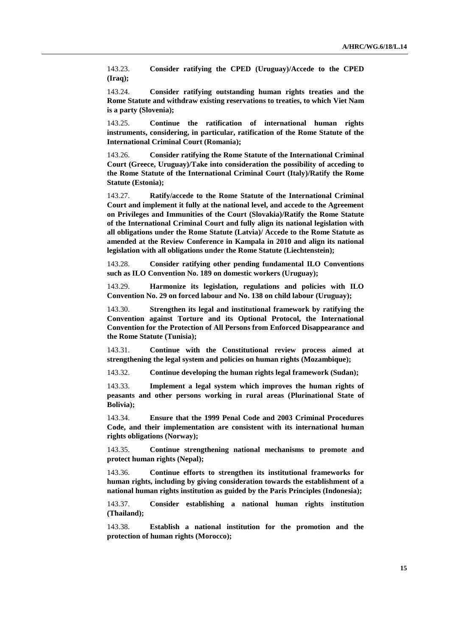143.23. **Consider ratifying the CPED (Uruguay)/Accede to the CPED (Iraq);**

143.24. **Consider ratifying outstanding human rights treaties and the Rome Statute and withdraw existing reservations to treaties, to which Viet Nam is a party (Slovenia);**

143.25. **Continue the ratification of international human rights instruments, considering, in particular, ratification of the Rome Statute of the International Criminal Court (Romania);**

143.26. **Consider ratifying the Rome Statute of the International Criminal Court (Greece, Uruguay)/Take into consideration the possibility of acceding to the Rome Statute of the International Criminal Court (Italy)/Ratify the Rome Statute (Estonia);**

143.27. **Ratify/accede to the Rome Statute of the International Criminal Court and implement it fully at the national level, and accede to the Agreement on Privileges and Immunities of the Court (Slovakia)/Ratify the Rome Statute of the International Criminal Court and fully align its national legislation with all obligations under the Rome Statute (Latvia)/ Accede to the Rome Statute as amended at the Review Conference in Kampala in 2010 and align its national legislation with all obligations under the Rome Statute (Liechtenstein);**

143.28. **Consider ratifying other pending fundamental ILO Conventions such as ILO Convention No. 189 on domestic workers (Uruguay);**

143.29. **Harmonize its legislation, regulations and policies with ILO Convention No. 29 on forced labour and No. 138 on child labour (Uruguay);**

143.30. **Strengthen its legal and institutional framework by ratifying the Convention against Torture and its Optional Protocol, the International Convention for the Protection of All Persons from Enforced Disappearance and the Rome Statute (Tunisia);**

143.31. **Continue with the Constitutional review process aimed at strengthening the legal system and policies on human rights (Mozambique);**

143.32. **Continue developing the human rights legal framework (Sudan);**

143.33. **Implement a legal system which improves the human rights of peasants and other persons working in rural areas (Plurinational State of Bolivia);**

143.34. **Ensure that the 1999 Penal Code and 2003 Criminal Procedures Code, and their implementation are consistent with its international human rights obligations (Norway);**

143.35. **Continue strengthening national mechanisms to promote and protect human rights (Nepal);**

143.36. **Continue efforts to strengthen its institutional frameworks for human rights, including by giving consideration towards the establishment of a national human rights institution as guided by the Paris Principles (Indonesia);**

143.37. **Consider establishing a national human rights institution (Thailand);**

143.38. **Establish a national institution for the promotion and the protection of human rights (Morocco);**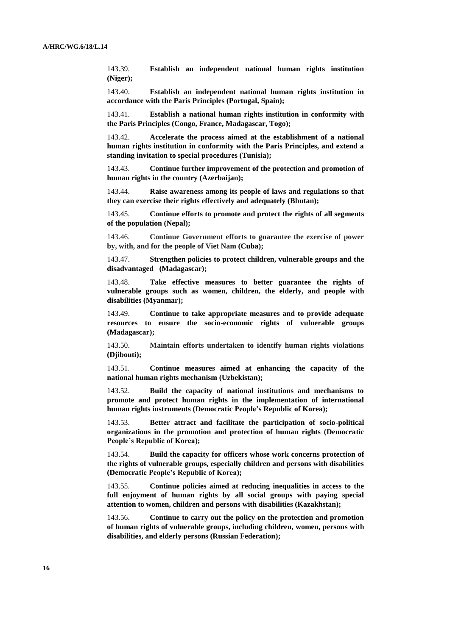143.39. **Establish an independent national human rights institution (Niger);**

143.40. **Establish an independent national human rights institution in accordance with the Paris Principles (Portugal, Spain);**

143.41. **Establish a national human rights institution in conformity with the Paris Principles (Congo, France, Madagascar, Togo);**

143.42. **Accelerate the process aimed at the establishment of a national human rights institution in conformity with the Paris Principles, and extend a standing invitation to special procedures (Tunisia);** 

143.43. **Continue further improvement of the protection and promotion of human rights in the country (Azerbaijan);**

143.44. **Raise awareness among its people of laws and regulations so that they can exercise their rights effectively and adequately (Bhutan);**

143.45. **Continue efforts to promote and protect the rights of all segments of the population (Nepal);**

143.46. **Continue Government efforts to guarantee the exercise of power by, with, and for the people of Viet Nam (Cuba);**

143.47. **Strengthen policies to protect children, vulnerable groups and the disadvantaged (Madagascar);**

143.48. **Take effective measures to better guarantee the rights of vulnerable groups such as women, children, the elderly, and people with disabilities (Myanmar);**

143.49. **Continue to take appropriate measures and to provide adequate resources to ensure the socio-economic rights of vulnerable groups (Madagascar);** 

143.50. **Maintain efforts undertaken to identify human rights violations (Djibouti);**

143.51. **Continue measures aimed at enhancing the capacity of the national human rights mechanism (Uzbekistan);**

143.52. **Build the capacity of national institutions and mechanisms to promote and protect human rights in the implementation of international human rights instruments (Democratic People's Republic of Korea);**

143.53. **Better attract and facilitate the participation of socio-political organizations in the promotion and protection of human rights (Democratic People's Republic of Korea);**

143.54. **Build the capacity for officers whose work concerns protection of the rights of vulnerable groups, especially children and persons with disabilities (Democratic People's Republic of Korea);**

143.55. **Continue policies aimed at reducing inequalities in access to the full enjoyment of human rights by all social groups with paying special attention to women, children and persons with disabilities (Kazakhstan);**

143.56. **Continue to carry out the policy on the protection and promotion of human rights of vulnerable groups, including children, women, persons with disabilities, and elderly persons (Russian Federation);**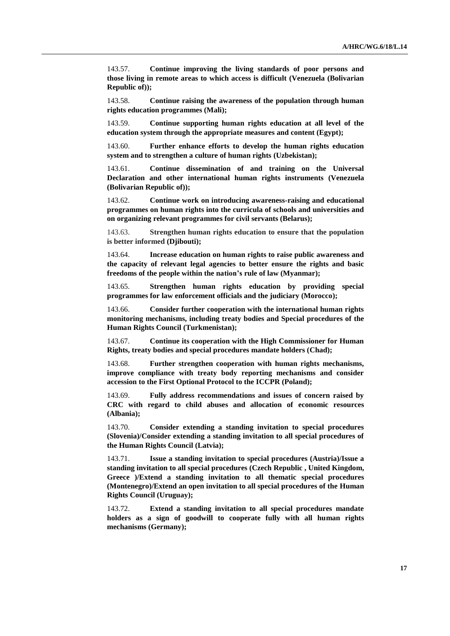143.57. **Continue improving the living standards of poor persons and those living in remote areas to which access is difficult (Venezuela (Bolivarian Republic of));**

143.58. **Continue raising the awareness of the population through human rights education programmes (Mali);**

143.59. **Continue supporting human rights education at all level of the education system through the appropriate measures and content (Egypt);**

143.60. **Further enhance efforts to develop the human rights education system and to strengthen a culture of human rights (Uzbekistan);**

143.61. **Continue dissemination of and training on the Universal Declaration and other international human rights instruments (Venezuela (Bolivarian Republic of));**

143.62. **Continue work on introducing awareness-raising and educational programmes on human rights into the curricula of schools and universities and on organizing relevant programmes for civil servants (Belarus);**

143.63. **Strengthen human rights education to ensure that the population is better informed (Djibouti);**

143.64. **Increase education on human rights to raise public awareness and the capacity of relevant legal agencies to better ensure the rights and basic freedoms of the people within the nation's rule of law (Myanmar);**

143.65. **Strengthen human rights education by providing special programmes for law enforcement officials and the judiciary (Morocco);**

143.66. **Consider further cooperation with the international human rights monitoring mechanisms, including treaty bodies and Special procedures of the Human Rights Council (Turkmenistan);**

143.67. **Continue its cooperation with the High Commissioner for Human Rights, treaty bodies and special procedures mandate holders (Chad);**

143.68. **Further strengthen cooperation with human rights mechanisms, improve compliance with treaty body reporting mechanisms and consider accession to the First Optional Protocol to the ICCPR (Poland);**

143.69. **Fully address recommendations and issues of concern raised by CRC with regard to child abuses and allocation of economic resources (Albania);**

143.70. **Consider extending a standing invitation to special procedures (Slovenia)/Consider extending a standing invitation to all special procedures of the Human Rights Council (Latvia);**

143.71. **Issue a standing invitation to special procedures (Austria)/Issue a standing invitation to all special procedures (Czech Republic , United Kingdom, Greece )/Extend a standing invitation to all thematic special procedures (Montenegro)/Extend an open invitation to all special procedures of the Human Rights Council (Uruguay);**

143.72. **Extend a standing invitation to all special procedures mandate holders as a sign of goodwill to cooperate fully with all human rights mechanisms (Germany);**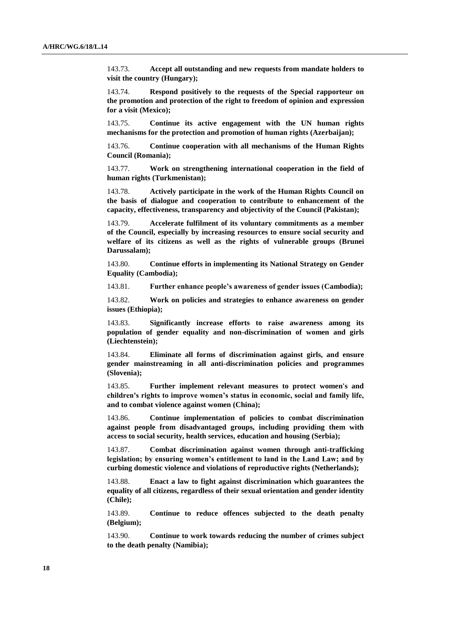143.73. **Accept all outstanding and new requests from mandate holders to visit the country (Hungary);**

143.74. **Respond positively to the requests of the Special rapporteur on the promotion and protection of the right to freedom of opinion and expression for a visit (Mexico);**

143.75. **Continue its active engagement with the UN human rights mechanisms for the protection and promotion of human rights (Azerbaijan);**

143.76. **Continue cooperation with all mechanisms of the Human Rights Council (Romania);**

143.77. **Work on strengthening international cooperation in the field of human rights (Turkmenistan);**

143.78. **Actively participate in the work of the Human Rights Council on the basis of dialogue and cooperation to contribute to enhancement of the capacity, effectiveness, transparency and objectivity of the Council (Pakistan);**

143.79. **Accelerate fulfilment of its voluntary commitments as a member of the Council, especially by increasing resources to ensure social security and welfare of its citizens as well as the rights of vulnerable groups (Brunei Darussalam);**

143.80. **Continue efforts in implementing its National Strategy on Gender Equality (Cambodia);**

143.81. **Further enhance people's awareness of gender issues (Cambodia);**

143.82. **Work on policies and strategies to enhance awareness on gender issues (Ethiopia);**

143.83. **Significantly increase efforts to raise awareness among its population of gender equality and non-discrimination of women and girls (Liechtenstein);**

143.84. **Eliminate all forms of discrimination against girls, and ensure gender mainstreaming in all anti-discrimination policies and programmes (Slovenia);**

143.85. **Further implement relevant measures to protect women's and children's rights to improve women's status in economic, social and family life, and to combat violence against women (China);**

143.86. **Continue implementation of policies to combat discrimination against people from disadvantaged groups, including providing them with access to social security, health services, education and housing (Serbia);**

143.87. **Combat discrimination against women through anti-trafficking legislation; by ensuring women's entitlement to land in the Land Law; and by curbing domestic violence and violations of reproductive rights (Netherlands);**

143.88. **Enact a law to fight against discrimination which guarantees the equality of all citizens, regardless of their sexual orientation and gender identity (Chile);**

143.89. **Continue to reduce offences subjected to the death penalty (Belgium);**

143.90. **Continue to work towards reducing the number of crimes subject to the death penalty (Namibia);**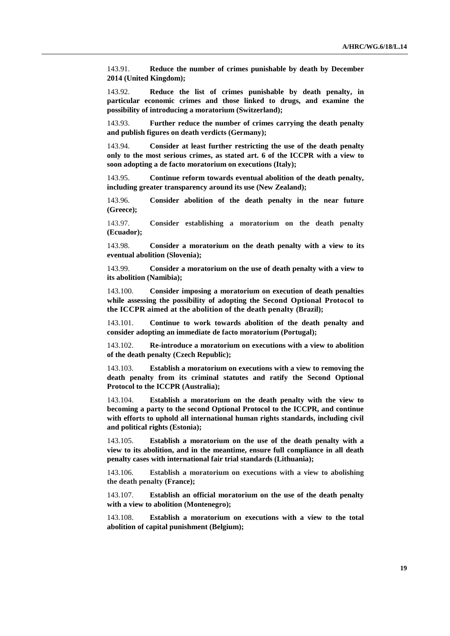143.91. **Reduce the number of crimes punishable by death by December 2014 (United Kingdom);**

143.92. **Reduce the list of crimes punishable by death penalty, in particular economic crimes and those linked to drugs, and examine the possibility of introducing a moratorium (Switzerland);**

143.93. **Further reduce the number of crimes carrying the death penalty and publish figures on death verdicts (Germany);**

143.94. **Consider at least further restricting the use of the death penalty only to the most serious crimes, as stated art. 6 of the ICCPR with a view to soon adopting a de facto moratorium on executions (Italy);**

143.95. **Continue reform towards eventual abolition of the death penalty, including greater transparency around its use (New Zealand);**

143.96. **Consider abolition of the death penalty in the near future (Greece);**

143.97. **Consider establishing a moratorium on the death penalty (Ecuador);**

143.98. **Consider a moratorium on the death penalty with a view to its eventual abolition (Slovenia);**

143.99. **Consider a moratorium on the use of death penalty with a view to its abolition (Namibia);**

143.100. **Consider imposing a moratorium on execution of death penalties while assessing the possibility of adopting the Second Optional Protocol to the ICCPR aimed at the abolition of the death penalty (Brazil);**

143.101. **Continue to work towards abolition of the death penalty and consider adopting an immediate de facto moratorium (Portugal);**

143.102. **Re-introduce a moratorium on executions with a view to abolition of the death penalty (Czech Republic);**

143.103. **Establish a moratorium on executions with a view to removing the death penalty from its criminal statutes and ratify the Second Optional Protocol to the ICCPR (Australia);**

143.104. **Establish a moratorium on the death penalty with the view to becoming a party to the second Optional Protocol to the ICCPR, and continue with efforts to uphold all international human rights standards, including civil and political rights (Estonia);**

143.105. **Establish a moratorium on the use of the death penalty with a view to its abolition, and in the meantime, ensure full compliance in all death penalty cases with international fair trial standards (Lithuania);**

143.106. **Establish a moratorium on executions with a view to abolishing the death penalty (France);**

143.107. **Establish an official moratorium on the use of the death penalty with a view to abolition (Montenegro);**

143.108. **Establish a moratorium on executions with a view to the total abolition of capital punishment (Belgium);**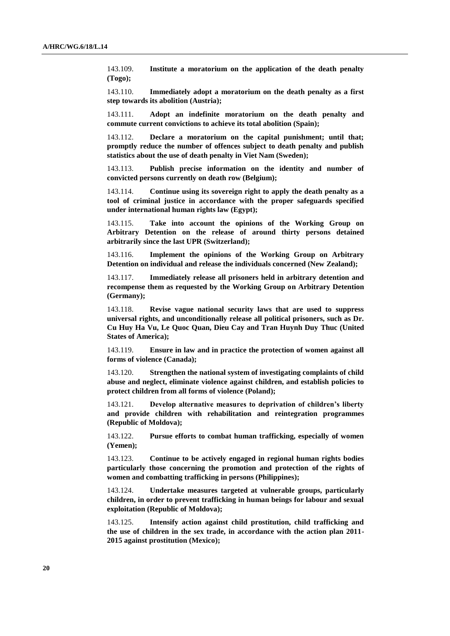143.109. **Institute a moratorium on the application of the death penalty (Togo);**

143.110. **Immediately adopt a moratorium on the death penalty as a first step towards its abolition (Austria);**

143.111. **Adopt an indefinite moratorium on the death penalty and commute current convictions to achieve its total abolition (Spain);**

143.112. **Declare a moratorium on the capital punishment; until that; promptly reduce the number of offences subject to death penalty and publish statistics about the use of death penalty in Viet Nam (Sweden);**

143.113. **Publish precise information on the identity and number of convicted persons currently on death row (Belgium);**

143.114. **Continue using its sovereign right to apply the death penalty as a tool of criminal justice in accordance with the proper safeguards specified under international human rights law (Egypt);**

143.115. **Take into account the opinions of the Working Group on Arbitrary Detention on the release of around thirty persons detained arbitrarily since the last UPR (Switzerland);**

143.116. **Implement the opinions of the Working Group on Arbitrary Detention on individual and release the individuals concerned (New Zealand);**

143.117. **Immediately release all prisoners held in arbitrary detention and recompense them as requested by the Working Group on Arbitrary Detention (Germany);**

143.118. **Revise vague national security laws that are used to suppress universal rights, and unconditionally release all political prisoners, such as Dr. Cu Huy Ha Vu, Le Quoc Quan, Dieu Cay and Tran Huynh Duy Thuc (United States of America);**

143.119. **Ensure in law and in practice the protection of women against all forms of violence (Canada);**

143.120. **Strengthen the national system of investigating complaints of child abuse and neglect, eliminate violence against children, and establish policies to protect children from all forms of violence (Poland);**

143.121. **Develop alternative measures to deprivation of children's liberty and provide children with rehabilitation and reintegration programmes (Republic of Moldova);**

143.122. **Pursue efforts to combat human trafficking, especially of women (Yemen);**

143.123. **Continue to be actively engaged in regional human rights bodies particularly those concerning the promotion and protection of the rights of women and combatting trafficking in persons (Philippines);**

143.124. **Undertake measures targeted at vulnerable groups, particularly children, in order to prevent trafficking in human beings for labour and sexual exploitation (Republic of Moldova);**

143.125. **Intensify action against child prostitution, child trafficking and the use of children in the sex trade, in accordance with the action plan 2011- 2015 against prostitution (Mexico);**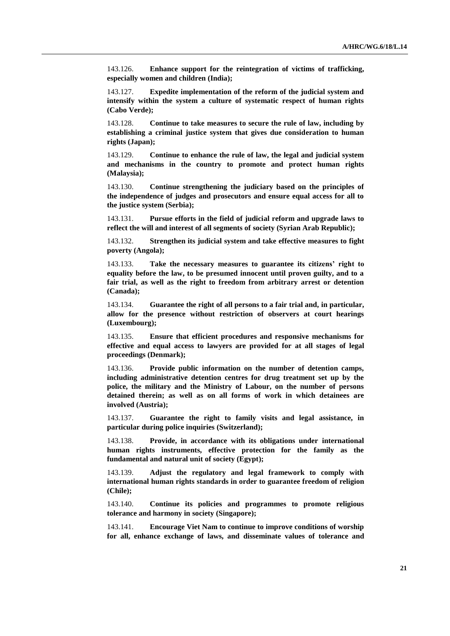143.126. **Enhance support for the reintegration of victims of trafficking, especially women and children (India);**

143.127. **Expedite implementation of the reform of the judicial system and intensify within the system a culture of systematic respect of human rights (Cabo Verde);**

143.128. **Continue to take measures to secure the rule of law, including by establishing a criminal justice system that gives due consideration to human rights (Japan);**

143.129. **Continue to enhance the rule of law, the legal and judicial system and mechanisms in the country to promote and protect human rights (Malaysia);**

143.130. **Continue strengthening the judiciary based on the principles of the independence of judges and prosecutors and ensure equal access for all to the justice system (Serbia);**

143.131. **Pursue efforts in the field of judicial reform and upgrade laws to reflect the will and interest of all segments of society (Syrian Arab Republic);**

143.132. **Strengthen its judicial system and take effective measures to fight poverty (Angola);**

143.133. **Take the necessary measures to guarantee its citizens' right to equality before the law, to be presumed innocent until proven guilty, and to a fair trial, as well as the right to freedom from arbitrary arrest or detention (Canada);**

143.134. **Guarantee the right of all persons to a fair trial and, in particular, allow for the presence without restriction of observers at court hearings (Luxembourg);**

143.135. **Ensure that efficient procedures and responsive mechanisms for effective and equal access to lawyers are provided for at all stages of legal proceedings (Denmark);**

143.136. **Provide public information on the number of detention camps, including administrative detention centres for drug treatment set up by the police, the military and the Ministry of Labour, on the number of persons detained therein; as well as on all forms of work in which detainees are involved (Austria);**

143.137. **Guarantee the right to family visits and legal assistance, in particular during police inquiries (Switzerland);**

143.138. **Provide, in accordance with its obligations under international human rights instruments, effective protection for the family as the fundamental and natural unit of society (Egypt);** 

143.139. **Adjust the regulatory and legal framework to comply with international human rights standards in order to guarantee freedom of religion (Chile);**

143.140. **Continue its policies and programmes to promote religious tolerance and harmony in society (Singapore);**

143.141. **Encourage Viet Nam to continue to improve conditions of worship for all, enhance exchange of laws, and disseminate values of tolerance and**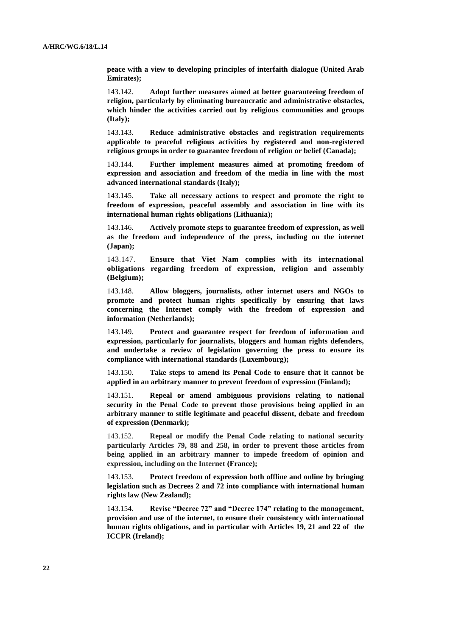**peace with a view to developing principles of interfaith dialogue (United Arab Emirates);**

143.142. **Adopt further measures aimed at better guaranteeing freedom of religion, particularly by eliminating bureaucratic and administrative obstacles, which hinder the activities carried out by religious communities and groups (Italy);**

143.143. **Reduce administrative obstacles and registration requirements applicable to peaceful religious activities by registered and non-registered religious groups in order to guarantee freedom of religion or belief (Canada);**

143.144. **Further implement measures aimed at promoting freedom of expression and association and freedom of the media in line with the most advanced international standards (Italy);**

143.145. **Take all necessary actions to respect and promote the right to freedom of expression, peaceful assembly and association in line with its international human rights obligations (Lithuania);**

143.146. **Actively promote steps to guarantee freedom of expression, as well as the freedom and independence of the press, including on the internet (Japan);** 

143.147. **Ensure that Viet Nam complies with its international obligations regarding freedom of expression, religion and assembly (Belgium);**

143.148. **Allow bloggers, journalists, other internet users and NGOs to promote and protect human rights specifically by ensuring that laws concerning the Internet comply with the freedom of expression and information (Netherlands);**

143.149. **Protect and guarantee respect for freedom of information and expression, particularly for journalists, bloggers and human rights defenders, and undertake a review of legislation governing the press to ensure its compliance with international standards (Luxembourg);**

143.150. **Take steps to amend its Penal Code to ensure that it cannot be applied in an arbitrary manner to prevent freedom of expression (Finland);**

143.151. **Repeal or amend ambiguous provisions relating to national security in the Penal Code to prevent those provisions being applied in an arbitrary manner to stifle legitimate and peaceful dissent, debate and freedom of expression (Denmark);**

143.152. **Repeal or modify the Penal Code relating to national security particularly Articles 79, 88 and 258, in order to prevent those articles from being applied in an arbitrary manner to impede freedom of opinion and expression, including on the Internet (France);**

143.153. **Protect freedom of expression both offline and online by bringing legislation such as Decrees 2 and 72 into compliance with international human rights law (New Zealand);**

143.154. **Revise "Decree 72" and "Decree 174" relating to the management, provision and use of the internet, to ensure their consistency with international human rights obligations, and in particular with Articles 19, 21 and 22 of the ICCPR (Ireland);**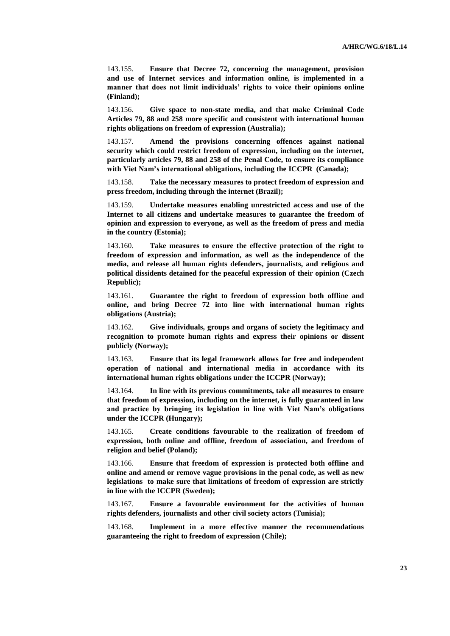143.155. **Ensure that Decree 72, concerning the management, provision and use of Internet services and information online, is implemented in a manner that does not limit individuals' rights to voice their opinions online (Finland);**

143.156. **Give space to non-state media, and that make Criminal Code Articles 79, 88 and 258 more specific and consistent with international human rights obligations on freedom of expression (Australia);**

143.157. **Amend the provisions concerning offences against national security which could restrict freedom of expression, including on the internet, particularly articles 79, 88 and 258 of the Penal Code, to ensure its compliance with Viet Nam's international obligations, including the ICCPR (Canada);**

143.158. **Take the necessary measures to protect freedom of expression and press freedom, including through the internet (Brazil);**

143.159. **Undertake measures enabling unrestricted access and use of the Internet to all citizens and undertake measures to guarantee the freedom of opinion and expression to everyone, as well as the freedom of press and media in the country (Estonia);**

143.160. **Take measures to ensure the effective protection of the right to freedom of expression and information, as well as the independence of the media, and release all human rights defenders, journalists, and religious and political dissidents detained for the peaceful expression of their opinion (Czech Republic);**

143.161. **Guarantee the right to freedom of expression both offline and online, and bring Decree 72 into line with international human rights obligations (Austria);**

143.162. **Give individuals, groups and organs of society the legitimacy and recognition to promote human rights and express their opinions or dissent publicly (Norway);**

143.163. **Ensure that its legal framework allows for free and independent operation of national and international media in accordance with its international human rights obligations under the ICCPR (Norway);**

143.164. **In line with its previous commitments, take all measures to ensure that freedom of expression, including on the internet, is fully guaranteed in law and practice by bringing its legislation in line with Viet Nam's obligations under the ICCPR (Hungary);**

143.165. **Create conditions favourable to the realization of freedom of expression, both online and offline, freedom of association, and freedom of religion and belief (Poland);**

143.166. **Ensure that freedom of expression is protected both offline and online and amend or remove vague provisions in the penal code, as well as new legislations to make sure that limitations of freedom of expression are strictly in line with the ICCPR (Sweden);**

143.167. **Ensure a favourable environment for the activities of human rights defenders, journalists and other civil society actors (Tunisia);**

143.168. **Implement in a more effective manner the recommendations guaranteeing the right to freedom of expression (Chile);**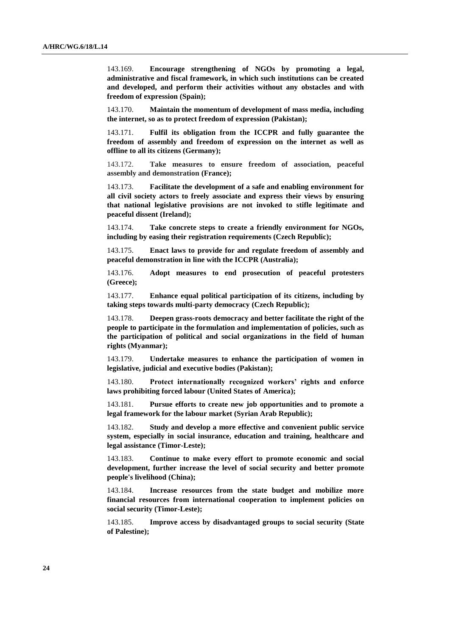143.169. **Encourage strengthening of NGOs by promoting a legal, administrative and fiscal framework, in which such institutions can be created and developed, and perform their activities without any obstacles and with freedom of expression (Spain);**

143.170. **Maintain the momentum of development of mass media, including the internet, so as to protect freedom of expression (Pakistan);**

143.171. **Fulfil its obligation from the ICCPR and fully guarantee the freedom of assembly and freedom of expression on the internet as well as offline to all its citizens (Germany);**

143.172. **Take measures to ensure freedom of association, peaceful assembly and demonstration (France);**

143.173. **Facilitate the development of a safe and enabling environment for all civil society actors to freely associate and express their views by ensuring that national legislative provisions are not invoked to stifle legitimate and peaceful dissent (Ireland);**

143.174. **Take concrete steps to create a friendly environment for NGOs, including by easing their registration requirements (Czech Republic);**

143.175. **Enact laws to provide for and regulate freedom of assembly and peaceful demonstration in line with the ICCPR (Australia);**

143.176. **Adopt measures to end prosecution of peaceful protesters (Greece);**

143.177. **Enhance equal political participation of its citizens, including by taking steps towards multi-party democracy (Czech Republic);**

143.178. **Deepen grass-roots democracy and better facilitate the right of the people to participate in the formulation and implementation of policies, such as the participation of political and social organizations in the field of human rights (Myanmar);**

143.179. **Undertake measures to enhance the participation of women in legislative, judicial and executive bodies (Pakistan);**

143.180. **Protect internationally recognized workers' rights and enforce laws prohibiting forced labour (United States of America);**

143.181. **Pursue efforts to create new job opportunities and to promote a legal framework for the labour market (Syrian Arab Republic);**

143.182. **Study and develop a more effective and convenient public service system, especially in social insurance, education and training, healthcare and legal assistance (Timor-Leste);**

143.183. **Continue to make every effort to promote economic and social development, further increase the level of social security and better promote people's livelihood (China);**

143.184. **Increase resources from the state budget and mobilize more financial resources from international cooperation to implement policies on social security (Timor-Leste);**

143.185. **Improve access by disadvantaged groups to social security (State of Palestine);**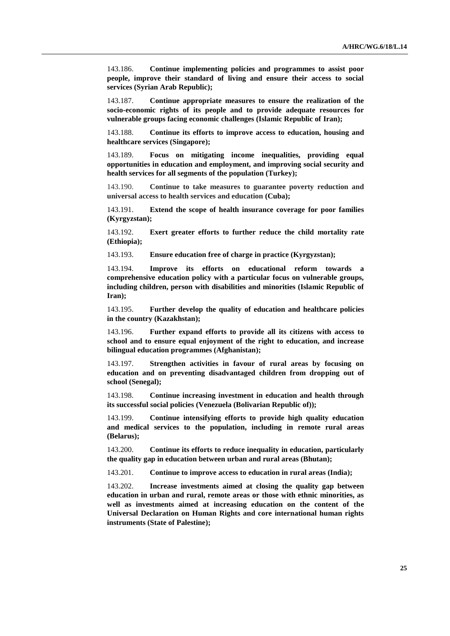143.186. **Continue implementing policies and programmes to assist poor people, improve their standard of living and ensure their access to social services (Syrian Arab Republic);**

143.187. **Continue appropriate measures to ensure the realization of the socio-economic rights of its people and to provide adequate resources for vulnerable groups facing economic challenges (Islamic Republic of Iran);**

143.188. **Continue its efforts to improve access to education, housing and healthcare services (Singapore);**

143.189. **Focus on mitigating income inequalities, providing equal opportunities in education and employment, and improving social security and health services for all segments of the population (Turkey);**

143.190. **Continue to take measures to guarantee poverty reduction and universal access to health services and education (Cuba);**

143.191. **Extend the scope of health insurance coverage for poor families (Kyrgyzstan);**

143.192. **Exert greater efforts to further reduce the child mortality rate (Ethiopia);**

143.193. **Ensure education free of charge in practice (Kyrgyzstan);**

143.194. **Improve its efforts on educational reform towards a comprehensive education policy with a particular focus on vulnerable groups, including children, person with disabilities and minorities (Islamic Republic of Iran);**

143.195. **Further develop the quality of education and healthcare policies in the country (Kazakhstan);**

143.196. **Further expand efforts to provide all its citizens with access to school and to ensure equal enjoyment of the right to education, and increase bilingual education programmes (Afghanistan);**

143.197. **Strengthen activities in favour of rural areas by focusing on education and on preventing disadvantaged children from dropping out of school (Senegal);**

143.198. **Continue increasing investment in education and health through its successful social policies (Venezuela (Bolivarian Republic of));**

143.199. **Continue intensifying efforts to provide high quality education and medical services to the population, including in remote rural areas (Belarus);**

143.200. **Continue its efforts to reduce inequality in education, particularly the quality gap in education between urban and rural areas (Bhutan);**

143.201. **Continue to improve access to education in rural areas (India);**

143.202. **Increase investments aimed at closing the quality gap between education in urban and rural, remote areas or those with ethnic minorities, as well as investments aimed at increasing education on the content of the Universal Declaration on Human Rights and core international human rights instruments (State of Palestine);**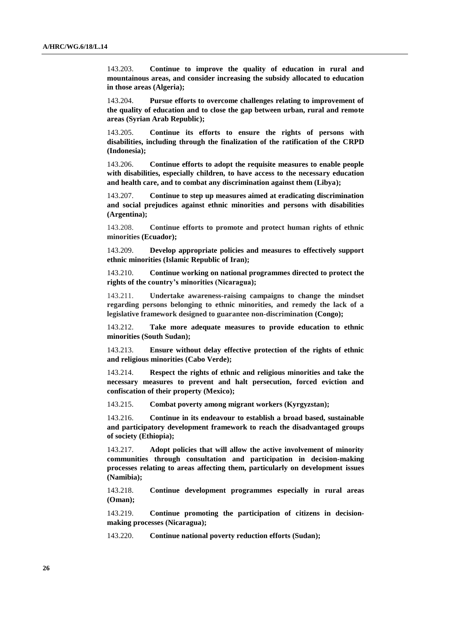143.203. **Continue to improve the quality of education in rural and mountainous areas, and consider increasing the subsidy allocated to education in those areas (Algeria);**

143.204. **Pursue efforts to overcome challenges relating to improvement of the quality of education and to close the gap between urban, rural and remote areas (Syrian Arab Republic);**

143.205. **Continue its efforts to ensure the rights of persons with disabilities, including through the finalization of the ratification of the CRPD (Indonesia);**

143.206. **Continue efforts to adopt the requisite measures to enable people with disabilities, especially children, to have access to the necessary education and health care, and to combat any discrimination against them (Libya);** 

143.207. **Continue to step up measures aimed at eradicating discrimination and social prejudices against ethnic minorities and persons with disabilities (Argentina);**

143.208. **Continue efforts to promote and protect human rights of ethnic minorities (Ecuador);**

143.209. **Develop appropriate policies and measures to effectively support ethnic minorities (Islamic Republic of Iran);**

143.210. **Continue working on national programmes directed to protect the rights of the country's minorities (Nicaragua);**

143.211. **Undertake awareness-raising campaigns to change the mindset regarding persons belonging to ethnic minorities, and remedy the lack of a legislative framework designed to guarantee non-discrimination (Congo);**

143.212. **Take more adequate measures to provide education to ethnic minorities (South Sudan);**

143.213. **Ensure without delay effective protection of the rights of ethnic and religious minorities (Cabo Verde);**

143.214. **Respect the rights of ethnic and religious minorities and take the necessary measures to prevent and halt persecution, forced eviction and confiscation of their property (Mexico);**

143.215. **Combat poverty among migrant workers (Kyrgyzstan);**

143.216. **Continue in its endeavour to establish a broad based, sustainable and participatory development framework to reach the disadvantaged groups of society (Ethiopia);**

143.217. **Adopt policies that will allow the active involvement of minority communities through consultation and participation in decision-making processes relating to areas affecting them, particularly on development issues (Namibia);**

143.218. **Continue development programmes especially in rural areas (Oman);** 

143.219. **Continue promoting the participation of citizens in decisionmaking processes (Nicaragua);**

143.220. **Continue national poverty reduction efforts (Sudan);**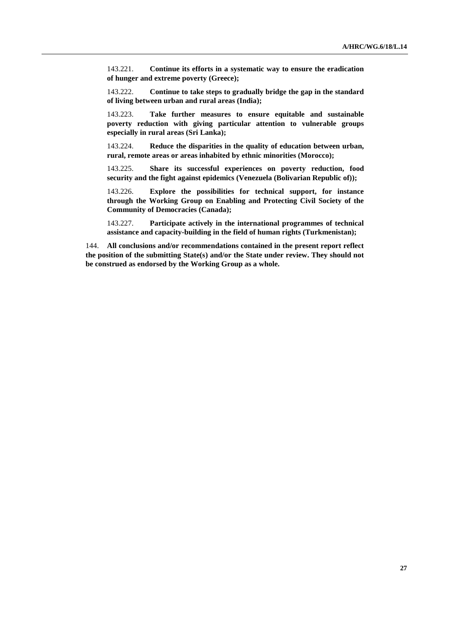143.221. **Continue its efforts in a systematic way to ensure the eradication of hunger and extreme poverty (Greece);**

143.222. **Continue to take steps to gradually bridge the gap in the standard of living between urban and rural areas (India);**

143.223. **Take further measures to ensure equitable and sustainable poverty reduction with giving particular attention to vulnerable groups especially in rural areas (Sri Lanka);**

143.224. **Reduce the disparities in the quality of education between urban, rural, remote areas or areas inhabited by ethnic minorities (Morocco);**

143.225. **Share its successful experiences on poverty reduction, food security and the fight against epidemics (Venezuela (Bolivarian Republic of));**

143.226. **Explore the possibilities for technical support, for instance through the Working Group on Enabling and Protecting Civil Society of the Community of Democracies (Canada);**

143.227. **Participate actively in the international programmes of technical assistance and capacity-building in the field of human rights (Turkmenistan);**

144. **All conclusions and/or recommendations contained in the present report reflect the position of the submitting State(s) and/or the State under review. They should not be construed as endorsed by the Working Group as a whole.**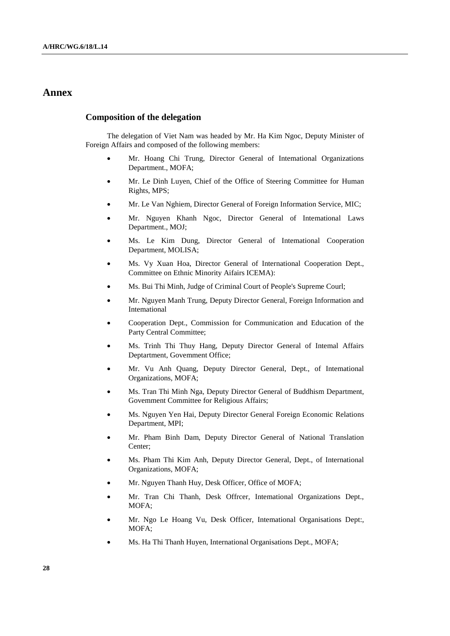## **Annex**

#### **Composition of the delegation**

The delegation of Viet Nam was headed by Mr. Ha Kim Ngoc, Deputy Minister of Foreign Affairs and composed of the following members:

- Mr. Hoang Chi Trung, Director General of Intemational Organizations Department., MOFA;
- Mr. Le Dinh Luyen, Chief of the Office of Steering Committee for Human Rights, MPS;
- Mr. Le Van Nghiem, Director General of Foreign Information Service, MIC;
- Mr. Nguyen Khanh Ngoc, Director General of Intemational Laws Department., MOJ;
- Ms. Le Kim Dung, Director General of Intemational Cooperation Department, MOLISA;
- Ms. Vy Xuan Hoa, Director General of International Cooperation Dept., Committee on Ethnic Minority Aifairs ICEMA):
- Ms. Bui Thi Minh, Judge of Criminal Court of People's Supreme Courl;
- Mr. Nguyen Manh Trung, Deputy Director General, Foreign Information and Intemational
- Cooperation Dept., Commission for Communication and Education of the Party Central Committee;
- Ms. Trinh Thi Thuy Hang, Deputy Director General of Intemal Affairs Deptartment, Govemment Office;
- Mr. Vu Anh Quang, Deputy Director General, Dept., of Intemational Organizations, MOFA;
- Ms. Tran Thi Minh Nga, Deputy Director General of Buddhism Department, Govemment Committee for Religious Affairs;
- Ms. Nguyen Yen Hai, Deputy Director General Foreign Economic Relations Department, MPI;
- Mr. Pham Binh Dam, Deputy Director General of National Translation Center;
- Ms. Pham Thi Kim Anh, Deputy Director General, Dept., of International Organizations, MOFA;
- Mr. Nguyen Thanh Huy, Desk Officer, Office of MOFA;
- Mr. Tran Chi Thanh, Desk Offrcer, Intemational Organizations Dept., MOFA;
- Mr. Ngo Le Hoang Vu, Desk Officer, Intemational Organisations Dept:, MOFA;
- Ms. Ha Thi Thanh Huyen, International Organisations Dept., MOFA;